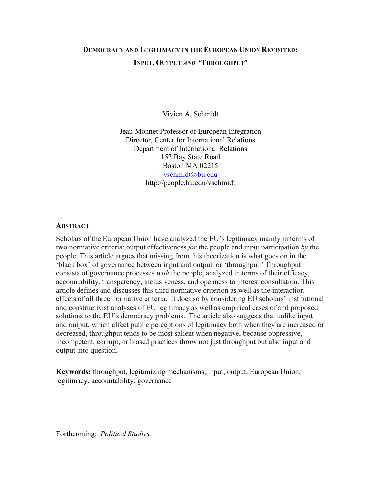# **DEMOCRACY AND LEGITIMACY IN THE EUROPEAN UNION REVISITED: INPUT, OUTPUT** *AND* **'THROUGHPUT'**

Vivien A. Schmidt

Jean Monnet Professor of European Integration Director, Center for International Relations Department of International Relations 152 Bay State Road Boston MA 02215 vschmidt@bu.edu http://people.bu.edu/vschmidt

#### **ABSTRACT**

Scholars of the European Union have analyzed the EU's legitimacy mainly in terms of two normative criteria: output effectiveness *for* the people and input participation *by* the people. This article argues that missing from this theorization is what goes on in the 'black box' of governance between input and output, or 'throughput.' Throughput consists of governance processes *with* the people, analyzed in terms of their efficacy, accountability, transparency, inclusiveness, and openness to interest consultation. This article defines and discusses this third normative criterion as well as the interaction effects of all three normative criteria. It does so by considering EU scholars' institutional and constructivist analyses of EU legitimacy as well as empirical cases of and proposed solutions to the EU's democracy problems. The article also suggests that unlike input and output, which affect public perceptions of legitimacy both when they are increased or decreased, throughput tends to be most salient when negative, because oppressive, incompetent, corrupt, or biased practices throw not just throughput but also input and output into question.

**Keywords:** throughput, legitimizing mechanisms, input, output, European Union, legitimacy, accountability, governance

Forthcoming: *Political Studies.*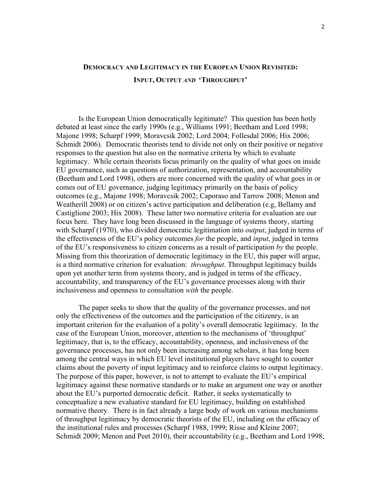## **DEMOCRACY AND LEGITIMACY IN THE EUROPEAN UNION REVISITED: INPUT, OUTPUT** *AND* **'THROUGHPUT'**

Is the European Union democratically legitimate? This question has been hotly debated at least since the early 1990s (e.g., Williams 1991; Beetham and Lord 1998; Majone 1998; Scharpf 1999; Moravcsik 2002; Lord 2004; Follesdal 2006; Hix 2006; Schmidt 2006). Democratic theorists tend to divide not only on their positive or negative responses to the question but also on the normative criteria by which to evaluate legitimacy. While certain theorists focus primarily on the quality of what goes on inside EU governance, such as questions of authorization, representation, and accountability (Beetham and Lord 1998), others are more concerned with the quality of what goes in or comes out of EU governance, judging legitimacy primarily on the basis of policy outcomes (e.g., Majone 1998; Moravcsik 2002; Caporaso and Tarrow 2008; Menon and Weatherill 2008) or on citizen's active participation and deliberation (e.g, Bellamy and Castiglione 2003; Hix 2008). These latter two normative criteria for evaluation are our focus here. They have long been discussed in the language of systems theory, starting with Scharpf (1970), who divided democratic legitimation into *output*, judged in terms of the effectiveness of the EU's policy outcomes *for* the people, and *input*, judged in terms of the EU's responsiveness to citizen concerns as a result of participation *by* the people. Missing from this theorization of democratic legitimacy in the EU, this paper will argue, is a third normative criterion for evaluation: *throughput*. Throughput legitimacy builds upon yet another term from systems theory, and is judged in terms of the efficacy, accountability, and transparency of the EU's governance processes along with their inclusiveness and openness to consultation *with* the people.

The paper seeks to show that the quality of the governance processes, and not only the effectiveness of the outcomes and the participation of the citizenry, is an important criterion for the evaluation of a polity's overall democratic legitimacy. In the case of the European Union, moreover, attention to the mechanisms of 'throughput' legitimacy, that is, to the efficacy, accountability, openness, and inclusiveness of the governance processes, has not only been increasing among scholars, it has long been among the central ways in which EU level institutional players have sought to counter claims about the poverty of input legitimacy and to reinforce claims to output legitimacy. The purpose of this paper, however, is not to attempt to evaluate the EU's empirical legitimacy against these normative standards or to make an argument one way or another about the EU's purported democratic deficit. Rather, it seeks systematically to conceptualize a new evaluative standard for EU legitimacy, building on established normative theory. There is in fact already a large body of work on various mechanisms of throughput legitimacy by democratic theorists of the EU, including on the efficacy of the institutional rules and processes (Scharpf 1988, 1999; Risse and Kleine 2007; Schmidt 2009; Menon and Peet 2010), their accountability (e.g., Beetham and Lord 1998;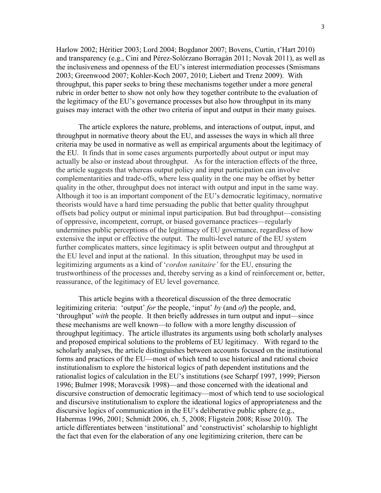Harlow 2002; Héritier 2003; Lord 2004; Bogdanor 2007; Bovens, Curtin, t'Hart 2010) and transparency (e.g., Cini and Pérez-Solórzano Borragán 2011; Novak 2011), as well as the inclusiveness and openness of the EU's interest intermediation processes (Smismans 2003; Greenwood 2007; Kohler-Koch 2007, 2010; Liebert and Trenz 2009). With throughput, this paper seeks to bring these mechanisms together under a more general rubric in order better to show not only how they together contribute to the evaluation of the legitimacy of the EU's governance processes but also how throughput in its many guises may interact with the other two criteria of input and output in their many guises.

The article explores the nature, problems, and interactions of output, input, and throughput in normative theory about the EU, and assesses the ways in which all three criteria may be used in normative as well as empirical arguments about the legitimacy of the EU. It finds that in some cases arguments purportedly about output or input may actually be also or instead about throughput. As for the interaction effects of the three, the article suggests that whereas output policy and input participation can involve complementarities and trade-offs, where less quality in the one may be offset by better quality in the other, throughput does not interact with output and input in the same way. Although it too is an important component of the EU's democratic legitimacy, normative theorists would have a hard time persuading the public that better quality throughput offsets bad policy output or minimal input participation. But bad throughput—consisting of oppressive, incompetent, corrupt, or biased governance practices—regularly undermines public perceptions of the legitimacy of EU governance, regardless of how extensive the input or effective the output. The multi-level nature of the EU system further complicates matters, since legitimacy is split between output and throughput at the EU level and input at the national. In this situation, throughput may be used in legitimizing arguments as a kind of '*cordon sanitaire'* for the EU, ensuring the trustworthiness of the processes and, thereby serving as a kind of reinforcement or, better, reassurance, of the legitimacy of EU level governance.

This article begins with a theoretical discussion of the three democratic legitimizing criteria: 'output' *for* the people, 'input' *by* (and *of*) the people, and, 'throughput' *with* the people. It then briefly addresses in turn output and input—since these mechanisms are well known—to follow with a more lengthy discussion of throughput legitimacy. The article illustrates its arguments using both scholarly analyses and proposed empirical solutions to the problems of EU legitimacy. With regard to the scholarly analyses, the article distinguishes between accounts focused on the institutional forms and practices of the EU—most of which tend to use historical and rational choice institutionalism to explore the historical logics of path dependent institutions and the rationalist logics of calculation in the EU's institutions (see Scharpf 1997, 1999; Pierson 1996; Bulmer 1998; Moravcsik 1998)—and those concerned with the ideational and discursive construction of democratic legitimacy—most of which tend to use sociological and discursive institutionalism to explore the ideational logics of appropriateness and the discursive logics of communication in the EU's deliberative public sphere (e.g., Habermas 1996, 2001; Schmidt 2006, ch. 5, 2008; Fligstein 2008; Risse 2010). The article differentiates between 'institutional' and 'constructivist' scholarship to highlight the fact that even for the elaboration of any one legitimizing criterion, there can be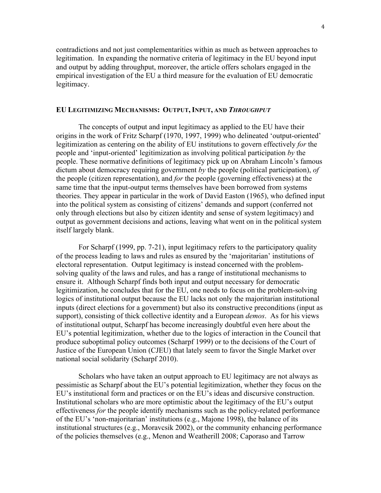contradictions and not just complementarities within as much as between approaches to legitimation. In expanding the normative criteria of legitimacy in the EU beyond input and output by adding throughput, moreover, the article offers scholars engaged in the empirical investigation of the EU a third measure for the evaluation of EU democratic legitimacy.

#### **EU LEGITIMIZING MECHANISMS: OUTPUT, INPUT, AND** *THROUGHPUT*

The concepts of output and input legitimacy as applied to the EU have their origins in the work of Fritz Scharpf (1970, 1997, 1999) who delineated 'output-oriented' legitimization as centering on the ability of EU institutions to govern effectively *for* the people and 'input-oriented' legitimization as involving political participation *by* the people. These normative definitions of legitimacy pick up on Abraham Lincoln's famous dictum about democracy requiring government *by* the people (political participation), *of* the people (citizen representation), and *for* the people (governing effectiveness) at the same time that the input-output terms themselves have been borrowed from systems theories. They appear in particular in the work of David Easton (1965), who defined input into the political system as consisting of citizens' demands and support (conferred not only through elections but also by citizen identity and sense of system legitimacy) and output as government decisions and actions, leaving what went on in the political system itself largely blank.

For Scharpf (1999, pp. 7-21), input legitimacy refers to the participatory quality of the process leading to laws and rules as ensured by the 'majoritarian' institutions of electoral representation. Output legitimacy is instead concerned with the problemsolving quality of the laws and rules, and has a range of institutional mechanisms to ensure it. Although Scharpf finds both input and output necessary for democratic legitimization, he concludes that for the EU, one needs to focus on the problem-solving logics of institutional output because the EU lacks not only the majoritarian institutional inputs (direct elections for a government) but also its constructive preconditions (input as support), consisting of thick collective identity and a European *demos*. As for his views of institutional output, Scharpf has become increasingly doubtful even here about the EU's potential legitimization, whether due to the logics of interaction in the Council that produce suboptimal policy outcomes (Scharpf 1999) or to the decisions of the Court of Justice of the European Union (CJEU) that lately seem to favor the Single Market over national social solidarity (Scharpf 2010).

Scholars who have taken an output approach to EU legitimacy are not always as pessimistic as Scharpf about the EU's potential legitimization, whether they focus on the EU's institutional form and practices or on the EU's ideas and discursive construction. Institutional scholars who are more optimistic about the legitimacy of the EU's output effectiveness *for* the people identify mechanisms such as the policy-related performance of the EU's 'non-majoritarian' institutions (e.g., Majone 1998), the balance of its institutional structures (e.g., Moravcsik 2002), or the community enhancing performance of the policies themselves (e.g., Menon and Weatherill 2008; Caporaso and Tarrow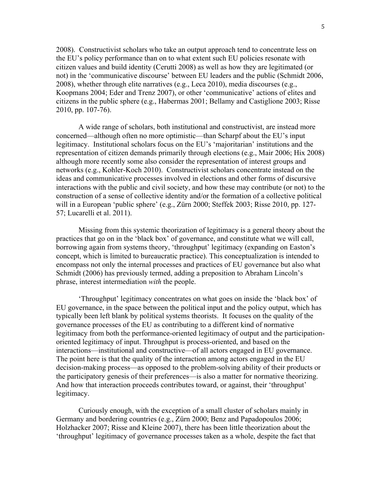2008). Constructivist scholars who take an output approach tend to concentrate less on the EU's policy performance than on to what extent such EU policies resonate with citizen values and build identity (Cerutti 2008) as well as how they are legitimated (or not) in the 'communicative discourse' between EU leaders and the public (Schmidt 2006, 2008), whether through elite narratives (e.g., Leca 2010), media discourses (e.g., Koopmans 2004; Eder and Trenz 2007), or other 'communicative' actions of elites and citizens in the public sphere (e.g., Habermas 2001; Bellamy and Castiglione 2003; Risse 2010, pp. 107-76).

A wide range of scholars, both institutional and constructivist, are instead more concerned—although often no more optimistic—than Scharpf about the EU's input legitimacy. Institutional scholars focus on the EU's 'majoritarian' institutions and the representation of citizen demands primarily through elections (e.g., Mair 2006; Hix 2008) although more recently some also consider the representation of interest groups and networks (e.g., Kohler-Koch 2010). Constructivist scholars concentrate instead on the ideas and communicative processes involved in elections and other forms of discursive interactions with the public and civil society, and how these may contribute (or not) to the construction of a sense of collective identity and/or the formation of a collective political will in a European 'public sphere' (e.g., Zürn 2000; Steffek 2003; Risse 2010, pp. 127- 57; Lucarelli et al. 2011).

Missing from this systemic theorization of legitimacy is a general theory about the practices that go on in the 'black box' of governance, and constitute what we will call, borrowing again from systems theory, 'throughput' legitimacy (expanding on Easton's concept, which is limited to bureaucratic practice). This conceptualization is intended to encompass not only the internal processes and practices of EU governance but also what Schmidt (2006) has previously termed, adding a preposition to Abraham Lincoln's phrase, interest intermediation *with* the people.

'Throughput' legitimacy concentrates on what goes on inside the 'black box' of EU governance, in the space between the political input and the policy output, which has typically been left blank by political systems theorists. It focuses on the quality of the governance processes of the EU as contributing to a different kind of normative legitimacy from both the performance-oriented legitimacy of output and the participationoriented legitimacy of input. Throughput is process-oriented, and based on the interactions—institutional and constructive—of all actors engaged in EU governance. The point here is that the quality of the interaction among actors engaged in the EU decision-making process—as opposed to the problem-solving ability of their products or the participatory genesis of their preferences—is also a matter for normative theorizing. And how that interaction proceeds contributes toward, or against, their 'throughput' legitimacy.

Curiously enough, with the exception of a small cluster of scholars mainly in Germany and bordering countries (e.g., Zürn 2000; Benz and Papadopoulos 2006; Holzhacker 2007; Risse and Kleine 2007), there has been little theorization about the 'throughput' legitimacy of governance processes taken as a whole, despite the fact that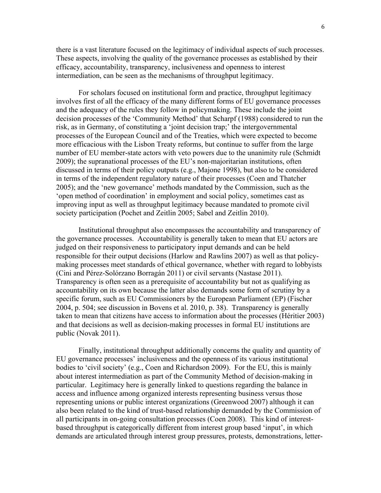there is a vast literature focused on the legitimacy of individual aspects of such processes. These aspects, involving the quality of the governance processes as established by their efficacy, accountability, transparency, inclusiveness and openness to interest intermediation, can be seen as the mechanisms of throughput legitimacy.

For scholars focused on institutional form and practice, throughput legitimacy involves first of all the efficacy of the many different forms of EU governance processes and the adequacy of the rules they follow in policymaking. These include the joint decision processes of the 'Community Method' that Scharpf (1988) considered to run the risk, as in Germany, of constituting a 'joint decision trap;' the intergovernmental processes of the European Council and of the Treaties, which were expected to become more efficacious with the Lisbon Treaty reforms, but continue to suffer from the large number of EU member-state actors with veto powers due to the unanimity rule (Schmidt 2009); the supranational processes of the EU's non-majoritarian institutions, often discussed in terms of their policy outputs (e.g., Majone 1998), but also to be considered in terms of the independent regulatory nature of their processes (Coen and Thatcher 2005); and the 'new governance' methods mandated by the Commission, such as the 'open method of coordination' in employment and social policy, sometimes cast as improving input as well as throughput legitimacy because mandated to promote civil society participation (Pochet and Zeitlin 2005; Sabel and Zeitlin 2010).

Institutional throughput also encompasses the accountability and transparency of the governance processes. Accountability is generally taken to mean that EU actors are judged on their responsiveness to participatory input demands and can be held responsible for their output decisions (Harlow and Rawlins 2007) as well as that policymaking processes meet standards of ethical governance, whether with regard to lobbyists (Cini and Pérez-Solórzano Borragán 2011) or civil servants (Nastase 2011). Transparency is often seen as a prerequisite of accountability but not as qualifying as accountability on its own because the latter also demands some form of scrutiny by a specific forum, such as EU Commissioners by the European Parliament (EP) (Fischer 2004, p. 504; see discussion in Bovens et al. 2010, p. 38). Transparency is generally taken to mean that citizens have access to information about the processes (Héritier 2003) and that decisions as well as decision-making processes in formal EU institutions are public (Novak 2011).

Finally, institutional throughput additionally concerns the quality and quantity of EU governance processes' inclusiveness and the openness of its various institutional bodies to 'civil society' (e.g., Coen and Richardson 2009). For the EU, this is mainly about interest intermediation as part of the Community Method of decision-making in particular. Legitimacy here is generally linked to questions regarding the balance in access and influence among organized interests representing business versus those representing unions or public interest organizations (Greenwood 2007) although it can also been related to the kind of trust-based relationship demanded by the Commission of all participants in on-going consultation processes (Coen 2008). This kind of interestbased throughput is categorically different from interest group based 'input', in which demands are articulated through interest group pressures, protests, demonstrations, letter-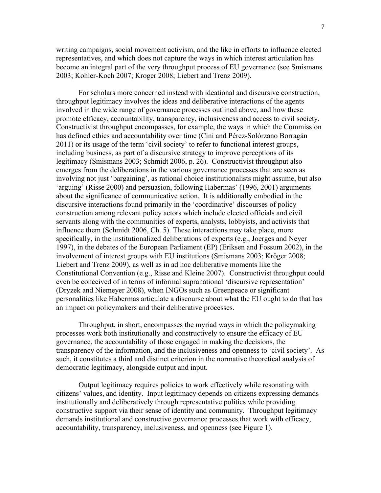writing campaigns, social movement activism, and the like in efforts to influence elected representatives, and which does not capture the ways in which interest articulation has become an integral part of the very throughput process of EU governance (see Smismans 2003; Kohler-Koch 2007; Kroger 2008; Liebert and Trenz 2009).

For scholars more concerned instead with ideational and discursive construction, throughput legitimacy involves the ideas and deliberative interactions of the agents involved in the wide range of governance processes outlined above, and how these promote efficacy, accountability, transparency, inclusiveness and access to civil society. Constructivist throughput encompasses, for example, the ways in which the Commission has defined ethics and accountability over time (Cini and Pérez-Solórzano Borragán 2011) or its usage of the term 'civil society' to refer to functional interest groups, including business, as part of a discursive strategy to improve perceptions of its legitimacy (Smismans 2003; Schmidt 2006, p. 26). Constructivist throughput also emerges from the deliberations in the various governance processes that are seen as involving not just 'bargaining', as rational choice institutionalists might assume, but also 'arguing' (Risse 2000) and persuasion, following Habermas' (1996, 2001) arguments about the significance of communicative action. It is additionally embodied in the discursive interactions found primarily in the 'coordinative' discourses of policy construction among relevant policy actors which include elected officials and civil servants along with the communities of experts, analysts, lobbyists, and activists that influence them (Schmidt 2006, Ch. 5). These interactions may take place, more specifically, in the institutionalized deliberations of experts (e.g., Joerges and Neyer 1997), in the debates of the European Parliament (EP) (Eriksen and Fossum 2002), in the involvement of interest groups with EU institutions (Smismans 2003; Kröger 2008; Liebert and Trenz 2009), as well as in ad hoc deliberative moments like the Constitutional Convention (e.g., Risse and Kleine 2007). Constructivist throughput could even be conceived of in terms of informal supranational 'discursive representation' (Dryzek and Niemeyer 2008), when INGOs such as Greenpeace or significant personalities like Habermas articulate a discourse about what the EU ought to do that has an impact on policymakers and their deliberative processes.

Throughput, in short, encompasses the myriad ways in which the policymaking processes work both institutionally and constructively to ensure the efficacy of EU governance, the accountability of those engaged in making the decisions, the transparency of the information, and the inclusiveness and openness to 'civil society'. As such, it constitutes a third and distinct criterion in the normative theoretical analysis of democratic legitimacy, alongside output and input.

Output legitimacy requires policies to work effectively while resonating with citizens' values, and identity. Input legitimacy depends on citizens expressing demands institutionally and deliberatively through representative politics while providing constructive support via their sense of identity and community. Throughput legitimacy demands institutional and constructive governance processes that work with efficacy, accountability, transparency, inclusiveness, and openness (see Figure 1).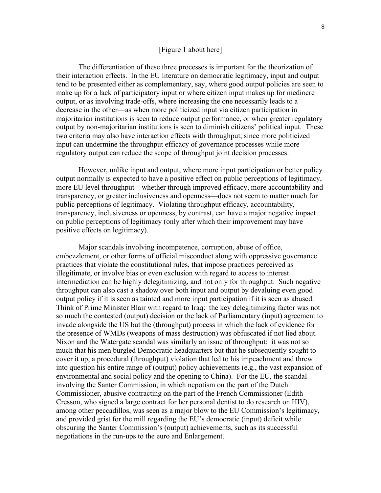#### [Figure 1 about here]

The differentiation of these three processes is important for the theorization of their interaction effects. In the EU literature on democratic legitimacy, input and output tend to be presented either as complementary, say, where good output policies are seen to make up for a lack of participatory input or where citizen input makes up for mediocre output, or as involving trade-offs, where increasing the one necessarily leads to a decrease in the other—as when more politicized input via citizen participation in majoritarian institutions is seen to reduce output performance, or when greater regulatory output by non-majoritarian institutions is seen to diminish citizens' political input. These two criteria may also have interaction effects with throughput, since more politicized input can undermine the throughput efficacy of governance processes while more regulatory output can reduce the scope of throughput joint decision processes.

However, unlike input and output, where more input participation or better policy output normally is expected to have a positive effect on public perceptions of legitimacy, more EU level throughput—whether through improved efficacy, more accountability and transparency, or greater inclusiveness and openness—does not seem to matter much for public perceptions of legitimacy. Violating throughput efficacy, accountability, transparency, inclusiveness or openness, by contrast, can have a major negative impact on public perceptions of legitimacy (only after which their improvement may have positive effects on legitimacy).

Major scandals involving incompetence, corruption, abuse of office, embezzlement, or other forms of official misconduct along with oppressive governance practices that violate the constitutional rules, that impose practices perceived as illegitimate, or involve bias or even exclusion with regard to access to interest intermediation can be highly delegitimizing, and not only for throughput. Such negative throughput can also cast a shadow over both input and output by devaluing even good output policy if it is seen as tainted and more input participation if it is seen as abused. Think of Prime Minister Blair with regard to Iraq: the key delegitimizing factor was not so much the contested (output) decision or the lack of Parliamentary (input) agreement to invade alongside the US but the (throughput) process in which the lack of evidence for the presence of WMDs (weapons of mass destruction) was obfuscated if not lied about. Nixon and the Watergate scandal was similarly an issue of throughput: it was not so much that his men burgled Democratic headquarters but that he subsequently sought to cover it up, a procedural (throughput) violation that led to his impeachment and threw into question his entire range of (output) policy achievements (e.g., the vast expansion of environmental and social policy and the opening to China). For the EU, the scandal involving the Santer Commission, in which nepotism on the part of the Dutch Commissioner, abusive contracting on the part of the French Commissioner (Edith Cresson, who signed a large contract for her personal dentist to do research on HIV), among other peccadillos, was seen as a major blow to the EU Commission's legitimacy, and provided grist for the mill regarding the EU's democratic (input) deficit while obscuring the Santer Commission's (output) achievements, such as its successful negotiations in the run-ups to the euro and Enlargement.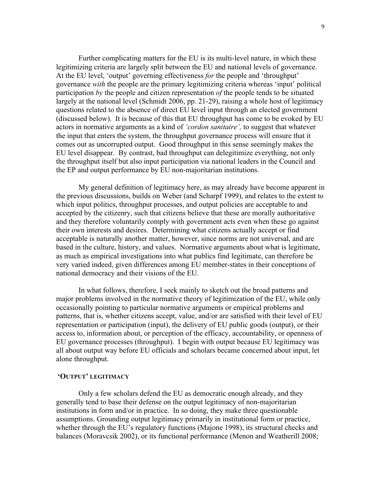Further complicating matters for the EU is its multi-level nature, in which these legitimizing criteria are largely split between the EU and national levels of governance. At the EU level, 'output' governing effectiveness *for* the people and 'throughput' governance *with* the people are the primary legitimizing criteria whereas 'input' political participation *by* the people and citizen representation *of* the people tends to be situated largely at the national level (Schmidt 2006, pp. 21-29), raising a whole host of legitimacy questions related to the absence of direct EU level input through an elected government (discussed below). It is because of this that EU throughput has come to be evoked by EU actors in normative arguments as a kind of *'cordon sanitaire',* to suggest that whatever the input that enters the system, the throughput governance process will ensure that it comes out as uncorrupted output. Good throughput in this sense seemingly makes the EU level disappear. By contrast, bad throughput can delegitimize everything, not only the throughput itself but also input participation via national leaders in the Council and the EP and output performance by EU non-majoritarian institutions.

My general definition of legitimacy here, as may already have become apparent in the previous discussions, builds on Weber (and Scharpf 1999), and relates to the extent to which input politics, throughput processes, and output policies are acceptable to and accepted by the citizenry, such that citizens believe that these are morally authoritative and they therefore voluntarily comply with government acts even when these go against their own interests and desires. Determining what citizens actually accept or find acceptable is naturally another matter, however, since norms are not universal, and are based in the culture, history, and values. Normative arguments about what is legitimate, as much as empirical investigations into what publics find legitimate, can therefore be very varied indeed, given differences among EU member-states in their conceptions of national democracy and their visions of the EU.

In what follows, therefore, I seek mainly to sketch out the broad patterns and major problems involved in the normative theory of legitimization of the EU, while only occasionally pointing to particular normative arguments or empirical problems and patterns, that is, whether citizens accept, value, and/or are satisfied with their level of EU representation or participation (input), the delivery of EU public goods (output), or their access to, information about, or perception of the efficacy, accountability, or openness of EU governance processes (throughput). I begin with output because EU legitimacy was all about output way before EU officials and scholars became concerned about input, let alone throughput.

#### **'OUTPUT' LEGITIMACY**

Only a few scholars defend the EU as democratic enough already, and they generally tend to base their defense on the output legitimacy of non-majoritarian institutions in form and/or in practice. In so doing, they make three questionable assumptions. Grounding output legitimacy primarily in institutional form or practice, whether through the EU's regulatory functions (Majone 1998), its structural checks and balances (Moravcsik 2002), or its functional performance (Menon and Weatherill 2008;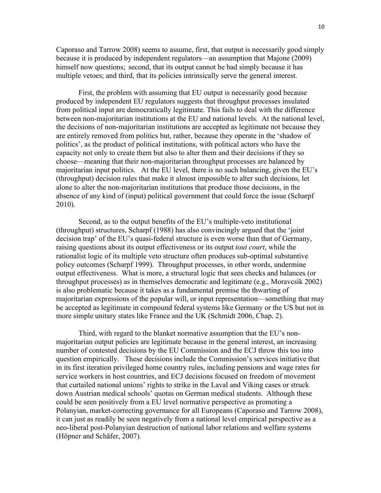Caporaso and Tarrow 2008) seems to assume, first, that output is necessarily good simply because it is produced by independent regulators—an assumption that Majone (2009) himself now questions; second, that its output cannot be bad simply because it has multiple vetoes; and third, that its policies intrinsically serve the general interest.

First, the problem with assuming that EU output is necessarily good because produced by independent EU regulators suggests that throughput processes insulated from political input are democratically legitimate. This fails to deal with the difference between non-majoritarian institutions at the EU and national levels. At the national level, the decisions of non-majoritarian institutions are accepted as legitimate not because they are entirely removed from politics but, rather, because they operate in the 'shadow of politics', as the product of political institutions, with political actors who have the capacity not only to create them but also to alter them and their decisions if they so choose—meaning that their non-majoritarian throughput processes are balanced by majoritarian input politics. At the EU level, there is no such balancing, given the EU's (throughput) decision rules that make it almost impossible to alter such decisions, let alone to alter the non-majoritarian institutions that produce those decisions, in the absence of any kind of (input) political government that could force the issue (Scharpf 2010).

Second, as to the output benefits of the EU's multiple-veto institutional (throughput) structures, Scharpf (1988) has also convincingly argued that the 'joint decision trap' of the EU's quasi-federal structure is even worse than that of Germany, raising questions about its output effectiveness or its output *tout court*, while the rationalist logic of its multiple veto structure often produces sub-optimal substantive policy outcomes (Scharpf 1999). Throughput processes, in other words, undermine output effectiveness. What is more, a structural logic that sees checks and balances (or throughput processes) as in themselves democratic and legitimate (e.g., Moravcsik 2002) is also problematic because it takes as a fundamental premise the thwarting of majoritarian expressions of the popular will, or input representation—something that may be accepted as legitimate in compound federal systems like Germany or the US but not in more simple unitary states like France and the UK (Schmidt 2006, Chap. 2).

Third, with regard to the blanket normative assumption that the EU's nonmajoritarian output policies are legitimate because in the general interest, an increasing number of contested decisions by the EU Commission and the ECJ throw this too into question empirically. These decisions include the Commission's services initiative that in its first iteration privileged home country rules, including pensions and wage rates for service workers in host countries, and ECJ decisions focused on freedom of movement that curtailed national unions' rights to strike in the Laval and Viking cases or struck down Austrian medical schools' quotas on German medical students. Although these could be seen positively from a EU level normative perspective as promoting a Polanyian, market-correcting governance for all Europeans (Caporaso and Tarrow 2008), it can just as readily be seen negatively from a national level empirical perspective as a neo-liberal post-Polanyian destruction of national labor relations and welfare systems (Höpner and Schäfer, 2007).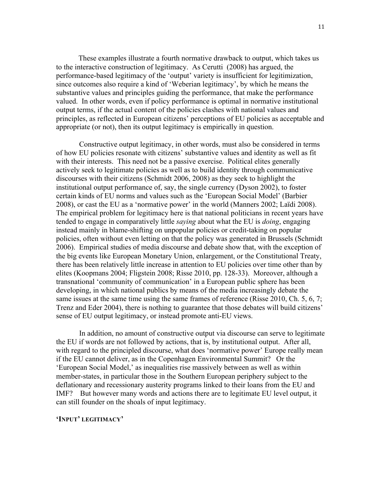These examples illustrate a fourth normative drawback to output, which takes us to the interactive construction of legitimacy. As Cerutti (2008) has argued, the performance-based legitimacy of the 'output' variety is insufficient for legitimization, since outcomes also require a kind of 'Weberian legitimacy', by which he means the substantive values and principles guiding the performance, that make the performance valued. In other words, even if policy performance is optimal in normative institutional output terms, if the actual content of the policies clashes with national values and principles, as reflected in European citizens' perceptions of EU policies as acceptable and appropriate (or not), then its output legitimacy is empirically in question.

Constructive output legitimacy, in other words, must also be considered in terms of how EU policies resonate with citizens' substantive values and identity as well as fit with their interests. This need not be a passive exercise. Political elites generally actively seek to legitimate policies as well as to build identity through communicative discourses with their citizens (Schmidt 2006, 2008) as they seek to highlight the institutional output performance of, say, the single currency (Dyson 2002), to foster certain kinds of EU norms and values such as the 'European Social Model' (Barbier 2008), or cast the EU as a 'normative power' in the world (Manners 2002; Laïdi 2008). The empirical problem for legitimacy here is that national politicians in recent years have tended to engage in comparatively little *saying* about what the EU is *doing*, engaging instead mainly in blame-shifting on unpopular policies or credit-taking on popular policies, often without even letting on that the policy was generated in Brussels (Schmidt 2006). Empirical studies of media discourse and debate show that, with the exception of the big events like European Monetary Union, enlargement, or the Constitutional Treaty, there has been relatively little increase in attention to EU policies over time other than by elites (Koopmans 2004; Fligstein 2008; Risse 2010, pp. 128-33). Moreover, although a transnational 'community of communication' in a European public sphere has been developing, in which national publics by means of the media increasingly debate the same issues at the same time using the same frames of reference (Risse 2010, Ch. 5, 6, 7; Trenz and Eder 2004), there is nothing to guarantee that those debates will build citizens' sense of EU output legitimacy, or instead promote anti-EU views.

In addition, no amount of constructive output via discourse can serve to legitimate the EU if words are not followed by actions, that is, by institutional output. After all, with regard to the principled discourse, what does 'normative power' Europe really mean if the EU cannot deliver, as in the Copenhagen Environmental Summit? Or the 'European Social Model,' as inequalities rise massively between as well as within member-states, in particular those in the Southern European periphery subject to the deflationary and recessionary austerity programs linked to their loans from the EU and IMF? But however many words and actions there are to legitimate EU level output, it can still founder on the shoals of input legitimacy.

#### **'INPUT' LEGITIMACY'**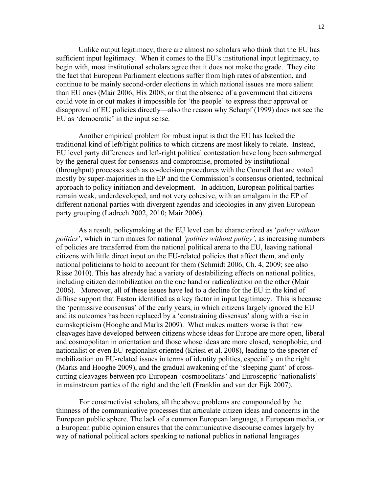Unlike output legitimacy, there are almost no scholars who think that the EU has sufficient input legitimacy. When it comes to the EU's institutional input legitimacy, to begin with, most institutional scholars agree that it does not make the grade. They cite the fact that European Parliament elections suffer from high rates of abstention, and continue to be mainly second-order elections in which national issues are more salient than EU ones (Mair 2006; Hix 2008; or that the absence of a government that citizens could vote in or out makes it impossible for 'the people' to express their approval or disapproval of EU policies directly—also the reason why Scharpf (1999) does not see the EU as 'democratic' in the input sense.

Another empirical problem for robust input is that the EU has lacked the traditional kind of left/right politics to which citizens are most likely to relate. Instead, EU level party differences and left-right political contestation have long been submerged by the general quest for consensus and compromise, promoted by institutional (throughput) processes such as co-decision procedures with the Council that are voted mostly by super-majorities in the EP and the Commission's consensus oriented, technical approach to policy initiation and development. In addition, European political parties remain weak, underdeveloped, and not very cohesive, with an amalgam in the EP of different national parties with divergent agendas and ideologies in any given European party grouping (Ladrech 2002, 2010; Mair 2006).

As a result, policymaking at the EU level can be characterized as '*policy without politics*', which in turn makes for national *'politics without policy',* as increasing numbers of policies are transferred from the national political arena to the EU, leaving national citizens with little direct input on the EU-related policies that affect them, and only national politicians to hold to account for them (Schmidt 2006, Ch. 4, 2009; see also Risse 2010). This has already had a variety of destabilizing effects on national politics, including citizen demobilization on the one hand or radicalization on the other (Mair 2006). Moreover, all of these issues have led to a decline for the EU in the kind of diffuse support that Easton identified as a key factor in input legitimacy. This is because the 'permissive consensus' of the early years, in which citizens largely ignored the EU and its outcomes has been replaced by a 'constraining dissensus' along with a rise in euroskepticism (Hooghe and Marks 2009). What makes matters worse is that new cleavages have developed between citizens whose ideas for Europe are more open, liberal and cosmopolitan in orientation and those whose ideas are more closed, xenophobic, and nationalist or even EU-regionalist oriented (Kriesi et al. 2008), leading to the specter of mobilization on EU-related issues in terms of identity politics, especially on the right (Marks and Hooghe 2009), and the gradual awakening of the 'sleeping giant' of crosscutting cleavages between pro-European 'cosmopolitans' and Eurosceptic 'nationalists' in mainstream parties of the right and the left (Franklin and van der Eijk 2007).

For constructivist scholars, all the above problems are compounded by the thinness of the communicative processes that articulate citizen ideas and concerns in the European public sphere. The lack of a common European language, a European media, or a European public opinion ensures that the communicative discourse comes largely by way of national political actors speaking to national publics in national languages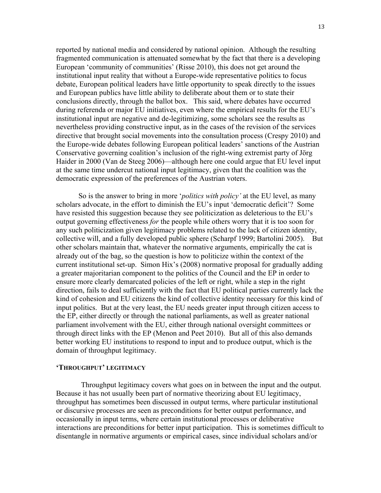reported by national media and considered by national opinion. Although the resulting fragmented communication is attenuated somewhat by the fact that there is a developing European 'community of communities' (Risse 2010), this does not get around the institutional input reality that without a Europe-wide representative politics to focus debate, European political leaders have little opportunity to speak directly to the issues and European publics have little ability to deliberate about them or to state their conclusions directly, through the ballot box. This said, where debates have occurred during referenda or major EU initiatives, even where the empirical results for the EU's institutional input are negative and de-legitimizing, some scholars see the results as nevertheless providing constructive input, as in the cases of the revision of the services directive that brought social movements into the consultation process (Crespy 2010) and the Europe-wide debates following European political leaders' sanctions of the Austrian Conservative governing coalition's inclusion of the right-wing extremist party of Jörg Haider in 2000 (Van de Steeg 2006)—although here one could argue that EU level input at the same time undercut national input legitimacy, given that the coalition was the democratic expression of the preferences of the Austrian voters.

So is the answer to bring in more '*politics with policy'* at the EU level, as many scholars advocate, in the effort to diminish the EU's input 'democratic deficit'? Some have resisted this suggestion because they see politicization as deleterious to the EU's output governing effectiveness *for* the people while others worry that it is too soon for any such politicization given legitimacy problems related to the lack of citizen identity, collective will, and a fully developed public sphere (Scharpf 1999; Bartolini 2005). But other scholars maintain that, whatever the normative arguments, empirically the cat is already out of the bag, so the question is how to politicize within the context of the current institutional set-up. Simon Hix's (2008) normative proposal for gradually adding a greater majoritarian component to the politics of the Council and the EP in order to ensure more clearly demarcated policies of the left or right, while a step in the right direction, fails to deal sufficiently with the fact that EU political parties currently lack the kind of cohesion and EU citizens the kind of collective identity necessary for this kind of input politics. But at the very least, the EU needs greater input through citizen access to the EP, either directly or through the national parliaments, as well as greater national parliament involvement with the EU, either through national oversight committees or through direct links with the EP (Menon and Peet 2010). But all of this also demands better working EU institutions to respond to input and to produce output, which is the domain of throughput legitimacy.

## **'THROUGHPUT' LEGITIMACY**

Throughput legitimacy covers what goes on in between the input and the output. Because it has not usually been part of normative theorizing about EU legitimacy, throughput has sometimes been discussed in output terms, where particular institutional or discursive processes are seen as preconditions for better output performance, and occasionally in input terms, where certain institutional processes or deliberative interactions are preconditions for better input participation. This is sometimes difficult to disentangle in normative arguments or empirical cases, since individual scholars and/or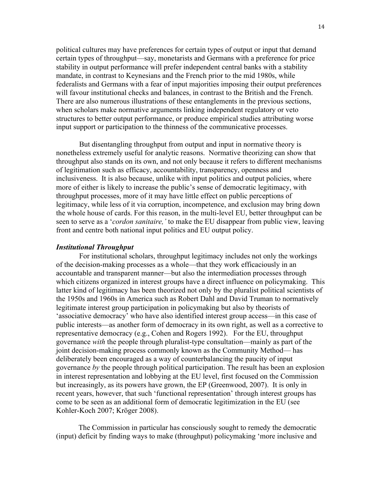political cultures may have preferences for certain types of output or input that demand certain types of throughput—say, monetarists and Germans with a preference for price stability in output performance will prefer independent central banks with a stability mandate, in contrast to Keynesians and the French prior to the mid 1980s, while federalists and Germans with a fear of input majorities imposing their output preferences will favour institutional checks and balances, in contrast to the British and the French. There are also numerous illustrations of these entanglements in the previous sections, when scholars make normative arguments linking independent regulatory or veto structures to better output performance, or produce empirical studies attributing worse input support or participation to the thinness of the communicative processes.

But disentangling throughput from output and input in normative theory is nonetheless extremely useful for analytic reasons. Normative theorizing can show that throughput also stands on its own, and not only because it refers to different mechanisms of legitimation such as efficacy, accountability, transparency, openness and inclusiveness. It is also because, unlike with input politics and output policies, where more of either is likely to increase the public's sense of democratic legitimacy, with throughput processes, more of it may have little effect on public perceptions of legitimacy, while less of it via corruption, incompetence, and exclusion may bring down the whole house of cards. For this reason, in the multi-level EU, better throughput can be seen to serve as a '*cordon sanitaire,'* to make the EU disappear from public view, leaving front and centre both national input politics and EU output policy.

#### *Institutional Throughput*

For institutional scholars, throughput legitimacy includes not only the workings of the decision-making processes as a whole—that they work efficaciously in an accountable and transparent manner—but also the intermediation processes through which citizens organized in interest groups have a direct influence on policymaking. This latter kind of legitimacy has been theorized not only by the pluralist political scientists of the 1950s and 1960s in America such as Robert Dahl and David Truman to normatively legitimate interest group participation in policymaking but also by theorists of 'associative democracy' who have also identified interest group access—in this case of public interests—as another form of democracy in its own right, as well as a corrective to representative democracy (e.g., Cohen and Rogers 1992). For the EU, throughput governance *with* the people through pluralist-type consultation—mainly as part of the joint decision-making process commonly known as the Community Method— has deliberately been encouraged as a way of counterbalancing the paucity of input governance *by* the people through political participation. The result has been an explosion in interest representation and lobbying at the EU level, first focused on the Commission but increasingly, as its powers have grown, the EP (Greenwood, 2007). It is only in recent years, however, that such 'functional representation' through interest groups has come to be seen as an additional form of democratic legitimization in the EU (see Kohler-Koch 2007; Kröger 2008).

The Commission in particular has consciously sought to remedy the democratic (input) deficit by finding ways to make (throughput) policymaking 'more inclusive and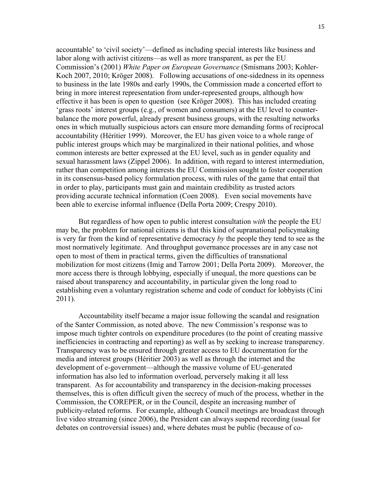accountable' to 'civil society'—defined as including special interests like business and labor along with activist citizens—as well as more transparent, as per the EU Commission's (2001) *White Paper on European Governance* (Smismans 2003; Kohler-Koch 2007, 2010; Kröger 2008). Following accusations of one-sidedness in its openness to business in the late 1980s and early 1990s, the Commission made a concerted effort to bring in more interest representation from under-represented groups, although how effective it has been is open to question (see Kröger 2008). This has included creating 'grass roots' interest groups (e.g., of women and consumers) at the EU level to counterbalance the more powerful, already present business groups, with the resulting networks ones in which mutually suspicious actors can ensure more demanding forms of reciprocal accountability (Héritier 1999). Moreover, the EU has given voice to a whole range of public interest groups which may be marginalized in their national polities, and whose common interests are better expressed at the EU level, such as in gender equality and sexual harassment laws (Zippel 2006). In addition, with regard to interest intermediation, rather than competition among interests the EU Commission sought to foster cooperation in its consensus-based policy formulation process, with rules of the game that entail that in order to play, participants must gain and maintain credibility as trusted actors providing accurate technical information (Coen 2008). Even social movements have been able to exercise informal influence (Della Porta 2009; Crespy 2010).

But regardless of how open to public interest consultation *with* the people the EU may be, the problem for national citizens is that this kind of supranational policymaking is very far from the kind of representative democracy *by* the people they tend to see as the most normatively legitimate. And throughput governance processes are in any case not open to most of them in practical terms, given the difficulties of transnational mobilization for most citizens (Imig and Tarrow 2001; Della Porta 2009). Moreover, the more access there is through lobbying, especially if unequal, the more questions can be raised about transparency and accountability, in particular given the long road to establishing even a voluntary registration scheme and code of conduct for lobbyists (Cini 2011).

Accountability itself became a major issue following the scandal and resignation of the Santer Commission, as noted above. The new Commission's response was to impose much tighter controls on expenditure procedures (to the point of creating massive inefficiencies in contracting and reporting) as well as by seeking to increase transparency. Transparency was to be ensured through greater access to EU documentation for the media and interest groups (Héritier 2003) as well as through the internet and the development of e-government—although the massive volume of EU-generated information has also led to information overload, perversely making it all less transparent. As for accountability and transparency in the decision-making processes themselves, this is often difficult given the secrecy of much of the process, whether in the Commission, the COREPER, or in the Council, despite an increasing number of publicity-related reforms. For example, although Council meetings are broadcast through live video streaming (since 2006), the President can always suspend recording (usual for debates on controversial issues) and, where debates must be public (because of co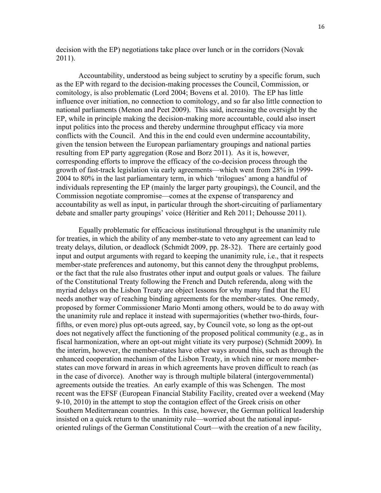decision with the EP) negotiations take place over lunch or in the corridors (Novak 2011).

Accountability, understood as being subject to scrutiny by a specific forum, such as the EP with regard to the decision-making processes the Council, Commission, or comitology, is also problematic (Lord 2004; Bovens et al. 2010). The EP has little influence over initiation, no connection to comitology, and so far also little connection to national parliaments (Menon and Peet 2009). This said, increasing the oversight by the EP, while in principle making the decision-making more accountable, could also insert input politics into the process and thereby undermine throughput efficacy via more conflicts with the Council. And this in the end could even undermine accountability, given the tension between the European parliamentary groupings and national parties resulting from EP party aggregation (Rose and Borz 2011). As it is, however, corresponding efforts to improve the efficacy of the co-decision process through the growth of fast-track legislation via early agreements—which went from 28% in 1999- 2004 to 80% in the last parliamentary term, in which 'trilogues' among a handful of individuals representing the EP (mainly the larger party groupings), the Council, and the Commission negotiate compromise—comes at the expense of transparency and accountability as well as input, in particular through the short-circuiting of parliamentary debate and smaller party groupings' voice (Héritier and Reh 2011; Dehousse 2011).

Equally problematic for efficacious institutional throughput is the unanimity rule for treaties, in which the ability of any member-state to veto any agreement can lead to treaty delays, dilution, or deadlock (Schmidt 2009, pp. 28-32). There are certainly good input and output arguments with regard to keeping the unanimity rule, i.e., that it respects member-state preferences and autonomy, but this cannot deny the throughput problems, or the fact that the rule also frustrates other input and output goals or values. The failure of the Constitutional Treaty following the French and Dutch referenda, along with the myriad delays on the Lisbon Treaty are object lessons for why many find that the EU needs another way of reaching binding agreements for the member-states. One remedy, proposed by former Commissioner Mario Monti among others, would be to do away with the unanimity rule and replace it instead with supermajorities (whether two-thirds, fourfifths, or even more) plus opt-outs agreed, say, by Council vote, so long as the opt-out does not negatively affect the functioning of the proposed political community (e.g., as in fiscal harmonization, where an opt-out might vitiate its very purpose) (Schmidt 2009). In the interim, however, the member-states have other ways around this, such as through the enhanced cooperation mechanism of the Lisbon Treaty, in which nine or more memberstates can move forward in areas in which agreements have proven difficult to reach (as in the case of divorce). Another way is through multiple bilateral (intergovernmental) agreements outside the treaties. An early example of this was Schengen. The most recent was the EFSF (European Financial Stability Facility, created over a weekend (May 9-10, 2010) in the attempt to stop the contagion effect of the Greek crisis on other Southern Mediterranean countries. In this case, however, the German political leadership insisted on a quick return to the unanimity rule—worried about the national inputoriented rulings of the German Constitutional Court—with the creation of a new facility,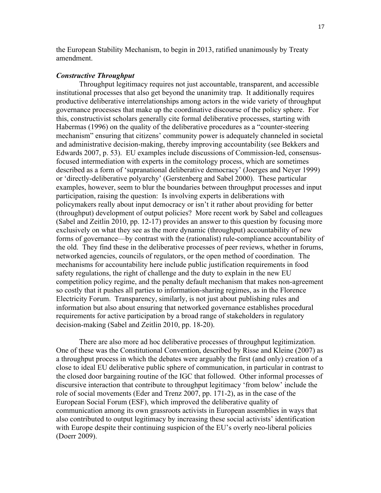the European Stability Mechanism, to begin in 2013, ratified unanimously by Treaty amendment.

#### *Constructive Throughput*

Throughput legitimacy requires not just accountable, transparent, and accessible institutional processes that also get beyond the unanimity trap. It additionally requires productive deliberative interrelationships among actors in the wide variety of throughput governance processes that make up the coordinative discourse of the policy sphere. For this, constructivist scholars generally cite formal deliberative processes, starting with Habermas (1996) on the quality of the deliberative procedures as a "counter-steering mechanism" ensuring that citizens' community power is adequately channeled in societal and administrative decision-making, thereby improving accountability (see Bekkers and Edwards 2007, p. 53). EU examples include discussions of Commission-led, consensusfocused intermediation with experts in the comitology process, which are sometimes described as a form of 'supranational deliberative democracy' (Joerges and Neyer 1999) or 'directly-deliberative polyarchy' (Gerstenberg and Sabel 2000). These particular examples, however, seem to blur the boundaries between throughput processes and input participation, raising the question: Is involving experts in deliberations with policymakers really about input democracy or isn't it rather about providing for better (throughput) development of output policies? More recent work by Sabel and colleagues (Sabel and Zeitlin 2010, pp. 12-17) provides an answer to this question by focusing more exclusively on what they see as the more dynamic (throughput) accountability of new forms of governance—by contrast with the (rationalist) rule-compliance accountability of the old. They find these in the deliberative processes of peer reviews, whether in forums, networked agencies, councils of regulators, or the open method of coordination. The mechanisms for accountability here include public justification requirements in food safety regulations, the right of challenge and the duty to explain in the new EU competition policy regime, and the penalty default mechanism that makes non-agreement so costly that it pushes all parties to information-sharing regimes, as in the Florence Electricity Forum. Transparency, similarly, is not just about publishing rules and information but also about ensuring that networked governance establishes procedural requirements for active participation by a broad range of stakeholders in regulatory decision-making (Sabel and Zeitlin 2010, pp. 18-20).

There are also more ad hoc deliberative processes of throughput legitimization. One of these was the Constitutional Convention, described by Risse and Kleine (2007) as a throughput process in which the debates were arguably the first (and only) creation of a close to ideal EU deliberative public sphere of communication, in particular in contrast to the closed door bargaining routine of the IGC that followed. Other informal processes of discursive interaction that contribute to throughput legitimacy 'from below' include the role of social movements (Eder and Trenz 2007, pp. 171-2), as in the case of the European Social Forum (ESF), which improved the deliberative quality of communication among its own grassroots activists in European assemblies in ways that also contributed to output legitimacy by increasing these social activists' identification with Europe despite their continuing suspicion of the EU's overly neo-liberal policies (Doerr 2009).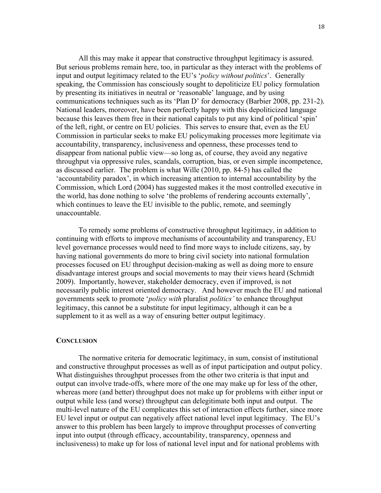All this may make it appear that constructive throughput legitimacy is assured. But serious problems remain here, too, in particular as they interact with the problems of input and output legitimacy related to the EU's '*policy without politics*'. Generally speaking, the Commission has consciously sought to depoliticize EU policy formulation by presenting its initiatives in neutral or 'reasonable' language, and by using communications techniques such as its 'Plan D' for democracy (Barbier 2008, pp. 231-2). National leaders, moreover, have been perfectly happy with this depoliticized language because this leaves them free in their national capitals to put any kind of political 'spin' of the left, right, or centre on EU policies. This serves to ensure that, even as the EU Commission in particular seeks to make EU policymaking processes more legitimate via accountability, transparency, inclusiveness and openness, these processes tend to disappear from national public view—so long as, of course, they avoid any negative throughput via oppressive rules, scandals, corruption, bias, or even simple incompetence, as discussed earlier. The problem is what Wille (2010, pp. 84-5) has called the 'accountability paradox', in which increasing attention to internal accountability by the Commission, which Lord (2004) has suggested makes it the most controlled executive in the world, has done nothing to solve 'the problems of rendering accounts externally', which continues to leave the EU invisible to the public, remote, and seemingly unaccountable.

To remedy some problems of constructive throughput legitimacy, in addition to continuing with efforts to improve mechanisms of accountability and transparency, EU level governance processes would need to find more ways to include citizens, say, by having national governments do more to bring civil society into national formulation processes focused on EU throughput decision-making as well as doing more to ensure disadvantage interest groups and social movements to may their views heard (Schmidt 2009). Importantly, however, stakeholder democracy, even if improved, is not necessarily public interest oriented democracy. And however much the EU and national governments seek to promote '*policy with* pluralist *politics'* to enhance throughput legitimacy, this cannot be a substitute for input legitimacy, although it can be a supplement to it as well as a way of ensuring better output legitimacy.

#### **CONCLUSION**

The normative criteria for democratic legitimacy, in sum, consist of institutional and constructive throughput processes as well as of input participation and output policy. What distinguishes throughput processes from the other two criteria is that input and output can involve trade-offs, where more of the one may make up for less of the other, whereas more (and better) throughput does not make up for problems with either input or output while less (and worse) throughput can delegitimate both input and output. The multi-level nature of the EU complicates this set of interaction effects further, since more EU level input or output can negatively affect national level input legitimacy. The EU's answer to this problem has been largely to improve throughput processes of converting input into output (through efficacy, accountability, transparency, openness and inclusiveness) to make up for loss of national level input and for national problems with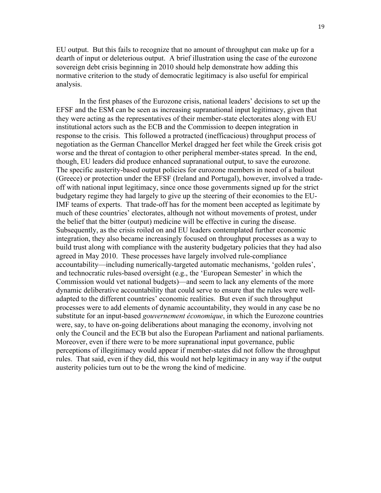EU output. But this fails to recognize that no amount of throughput can make up for a dearth of input or deleterious output. A brief illustration using the case of the eurozone sovereign debt crisis beginning in 2010 should help demonstrate how adding this normative criterion to the study of democratic legitimacy is also useful for empirical analysis.

In the first phases of the Eurozone crisis, national leaders' decisions to set up the EFSF and the ESM can be seen as increasing supranational input legitimacy, given that they were acting as the representatives of their member-state electorates along with EU institutional actors such as the ECB and the Commission to deepen integration in response to the crisis. This followed a protracted (inefficacious) throughput process of negotiation as the German Chancellor Merkel dragged her feet while the Greek crisis got worse and the threat of contagion to other peripheral member-states spread. In the end, though, EU leaders did produce enhanced supranational output, to save the eurozone. The specific austerity-based output policies for eurozone members in need of a bailout (Greece) or protection under the EFSF (Ireland and Portugal), however, involved a tradeoff with national input legitimacy, since once those governments signed up for the strict budgetary regime they had largely to give up the steering of their economies to the EU-IMF teams of experts. That trade-off has for the moment been accepted as legitimate by much of these countries' electorates, although not without movements of protest, under the belief that the bitter (output) medicine will be effective in curing the disease. Subsequently, as the crisis roiled on and EU leaders contemplated further economic integration, they also became increasingly focused on throughput processes as a way to build trust along with compliance with the austerity budgetary policies that they had also agreed in May 2010. These processes have largely involved rule-compliance accountability—including numerically-targeted automatic mechanisms, 'golden rules', and technocratic rules-based oversight (e.g., the 'European Semester' in which the Commission would vet national budgets)—and seem to lack any elements of the more dynamic deliberative accountability that could serve to ensure that the rules were welladapted to the different countries' economic realities. But even if such throughput processes were to add elements of dynamic accountability, they would in any case be no substitute for an input-based *gouvernement économique*, in which the Eurozone countries were, say, to have on-going deliberations about managing the economy, involving not only the Council and the ECB but also the European Parliament and national parliaments. Moreover, even if there were to be more supranational input governance, public perceptions of illegitimacy would appear if member-states did not follow the throughput rules. That said, even if they did, this would not help legitimacy in any way if the output austerity policies turn out to be the wrong the kind of medicine.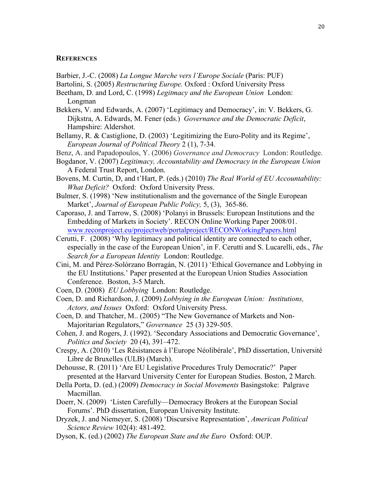## **REFERENCES**

- Barbier, J.-C. (2008) *La Longue Marche vers l'Europe Sociale* (Paris: PUF)
- Bartolini, S. (2005) *Restructuring Europe.* Oxford : Oxford University Press
- Beetham, D. and Lord, C. (1998) *Legitmacy and the European Union* London: Longman
- Bekkers, V. and Edwards, A. (2007) 'Legitimacy and Democracy', in: V. Bekkers, G. Dijkstra, A. Edwards, M. Fener (eds.) *Governance and the Democratic Deficit*, Hampshire: Aldershot.
- Bellamy, R. & Castiglione, D. (2003) 'Legitimizing the Euro-Polity and its Regime', *European Journal of Political Theory* 2 (1), 7-34.
- Benz, A. and Papadopoulos, Y. (2006) *Governance and Democracy* London: Routledge.
- Bogdanor, V. (2007) *Legitimacy, Accountability and Democracy in the European Union* A Federal Trust Report, London.
- Bovens, M. Curtin, D, and t'Hart, P. (eds.) (2010) *The Real World of EU Accountability: What Deficit?* Oxford: Oxford University Press.
- Bulmer, S. (1998) 'New institutionalism and the governance of the Single European Market', *Journal of European Public Policy,* 5, (3), 365-86.
- Caporaso, J. and Tarrow, S. (2008) 'Polanyi in Brussels: European Institutions and the Embedding of Markets in Society'. RECON Online Working Paper 2008/01. www.reconproject.eu/projectweb/portalproject/RECONWorkingPapers.html
- Cerutti, F. (2008) 'Why legitimacy and political identity are connected to each other, especially in the case of the European Union', in F. Cerutti and S. Lucarelli, eds., *The Search for a European Identity* London: Routledge.
- Cini, M. and Pérez-Solórzano Borragán, N. (2011) 'Ethical Governance and Lobbying in the EU Institutions.' Paper presented at the European Union Studies Association Conference. Boston, 3-5 March.
- Coen, D. (2008) *EU Lobbying* London: Routledge.
- Coen, D. and Richardson, J. (2009) *Lobbying in the European Union: Institutions, Actors, and Issues* Oxford: Oxford University Press.
- Coen, D. and Thatcher, M.. (2005) "The New Governance of Markets and Non-Majoritarian Regulators," *Governance* 25 (3) 329-505.
- Cohen, J. and Rogers, J. (1992). 'Secondary Associations and Democratic Governance', *Politics and Society* 20 (4), 391–472.
- Crespy, A. (2010) 'Les Résistances à l'Europe Néolibérale', PhD dissertation, Université Libre de Bruxelles (ULB) (March).
- Dehousse, R. (2011) 'Are EU Legislative Procedures Truly Democratic?' Paper presented at the Harvard University Center for European Studies. Boston, 2 March.
- Della Porta, D. (ed.) (2009) *Democracy in Social Movements* Basingstoke: Palgrave Macmillan.
- Doerr, N. (2009) 'Listen Carefully—Democracy Brokers at the European Social Forums'. PhD dissertation, European University Institute.
- Dryzek, J. and Niemeyer, S. (2008) 'Discursive Representation', *American Political Science Review* 102(4): 481-492.
- Dyson, K. (ed.) (2002) *The European State and the Euro* Oxford: OUP.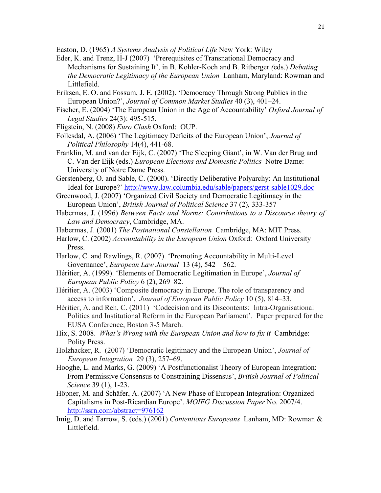Easton, D. (1965) *A Systems Analysis of Political Life* New York: Wiley

- Eder, K. and Trenz, H-J (2007) 'Prerequisites of Transnational Democracy and Mechanisms for Sustaining It', in B. Kohler-Koch and B. Ritberger *(*eds.) *Debating the Democratic Legitimacy of the European Union* Lanham, Maryland: Rowman and Littlefield.
- Eriksen, E. O. and Fossum, J. E. (2002). 'Democracy Through Strong Publics in the European Union?', *Journal of Common Market Studies* 40 (3), 401–24.
- Fischer, E. (2004) 'The European Union in the Age of Accountability' *Oxford Journal of Legal Studies* 24(3): 495-515.
- Fligstein, N. (2008) *Euro Clash* Oxford: OUP.
- Follesdal, A. (2006) 'The Legitimacy Deficits of the European Union', *Journal of Political Philosophy* 14(4), 441-68.
- Franklin, M. and van der Eijk, C. (2007) 'The Sleeping Giant', in W. Van der Brug and C. Van der Eijk (eds.) *European Elections and Domestic Politics* Notre Dame: University of Notre Dame Press.
- Gerstenberg, O. and Sable, C. (2000). 'Directly Deliberative Polyarchy: An Institutional Ideal for Europe?' http://www.law.columbia.edu/sable/papers/gerst-sable1029.doc

Greenwood, J. (2007) 'Organized Civil Society and Democratic Legitimacy in the European Union', *British Journal of Political Science* 37 (2), 333-357

- Habermas, J. (1996) *Between Facts and Norms: Contributions to a Discourse theory of Law and Democracy*, Cambridge, MA.
- Habermas, J. (2001) *The Postnational Constellation* Cambridge, MA: MIT Press.
- Harlow, C. (2002) *Accountability in the European Union* Oxford: Oxford University Press.
- Harlow, C. and Rawlings, R. (2007). 'Promoting Accountability in Multi-Level Governance', *European Law Journal* 13 (4), 542—562.
- Héritier, A. (1999). 'Elements of Democratic Legitimation in Europe', *Journal of European Public Policy* 6 (2), 269–82.
- Héritier, A. (2003) 'Composite democracy in Europe. The role of transparency and access to information', *Journal of European Public Policy* 10 (5), 814–33.
- Héritier, A. and Reh, C. (2011) 'Codecision and its Discontents: Intra-Organisational Politics and Institutional Reform in the European Parliament'. Paper prepared for the EUSA Conference, Boston 3-5 March.
- Hix, S. 2008. *What's Wrong with the European Union and how to fix it* Cambridge: Polity Press.
- Holzhacker, R. (2007) 'Democratic legitimacy and the European Union', *Journal of European Integration* 29 (3), 257–69.
- Hooghe, L. and Marks, G. (2009) 'A Postfunctionalist Theory of European Integration: From Permissive Consensus to Constraining Dissensus', *British Journal of Political Science* 39 (1), 1-23.
- Höpner, M. and Schäfer, A. (2007) 'A New Phase of European Integration: Organized Capitalisms in Post-Ricardian Europe'. *MOIFG Discussion Paper* No. 2007/4. http://ssrn.com/abstract=976162
- Imig, D. and Tarrow, S. (eds.) (2001) *Contentious Europeans* Lanham, MD: Rowman & Littlefield.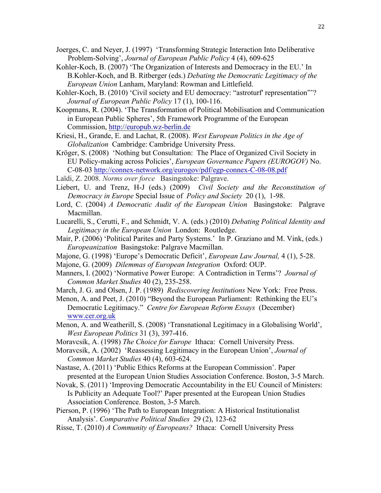- Joerges, C. and Neyer, J. (1997) 'Transforming Strategic Interaction Into Deliberative Problem-Solving', *Journal of European Public Policy* 4 (4), 609-625
- Kohler-Koch, B. (2007) 'The Organization of Interests and Democracy in the EU.' In B.Kohler-Koch, and B. Ritberger (eds.) *Debating the Democratic Legitimacy of the European Union* Lanham, Maryland: Rowman and Littlefield.
- Kohler-Koch, B. (2010) 'Civil society and EU democracy: "astroturf' representation"'? *Journal of European Public Policy* 17 (1), 100-116.
- Koopmans, R. (2004). 'The Transformation of Political Mobilisation and Communication in European Public Spheres', 5th Framework Programme of the European Commission, http://europub.wz-berlin.de
- Kriesi, H., Grande, E. and Lachat, R. (2008). *West European Politics in the Age of Globalization* Cambridge: Cambridge University Press.
- Kröger, S. (2008) 'Nothing but Consultation: The Place of Organized Civil Society in EU Policy-making across Policies', *European Governance Papers (EUROGOV)* No. C-08-03 http://connex-network.org/eurogov/pdf/egp-connex-C-08-08.pdf
- Laïdi, Z. 2008. *Norms over force* Basingstoke: Palgrave.
- Liebert, U. and Trenz, H-J (eds.) (2009) *Civil Society and the Reconstitution of Democracy in Europe* Special Issue of *Policy and Society* 20 (1), 1-98.
- Lord, C. (2004) *A Democratic Audit of the European Union* Basingstoke: Palgrave Macmillan.
- Lucarelli, S., Cerutti, F., and Schmidt, V. A. (eds.) (2010) *Debating Political Identity and Legitimacy in the European Union* London: Routledge.
- Mair, P. (2006) 'Political Parites and Party Systems.' In P. Graziano and M. Vink, (eds.) *Europeanization* Basingstoke: Palgrave Macmillan.
- Majone, G. (1998) 'Europe's Democratic Deficit', *European Law Journal,* 4 (1), 5-28.
- Majone, G. (2009) *Dilemmas of European Integration* Oxford: OUP.
- Manners, I. (2002) 'Normative Power Europe: A Contradiction in Terms'? *Journal of Common Market Studies* 40 (2), 235-258.
- March, J. G. and Olsen, J. P. (1989) *Rediscovering Institutions* New York: Free Press.
- Menon, A. and Peet, J. (2010) "Beyond the European Parliament: Rethinking the EU's Democratic Legitimacy." *Centre for European Reform Essays* (December) www.cer.org.uk
- Menon, A. and Weatherill, S. (2008) 'Transnational Legitimacy in a Globalising World', *West European Politics* 31 (3), 397-416.
- Moravcsik, A. (1998) *The Choice for Europe* Ithaca: Cornell University Press.
- Moravcsik, A. (2002) 'Reassessing Legitimacy in the European Union', *Journal of Common Market Studies* 40 (4), 603-624.
- Nastase, A. (2011) 'Public Ethics Reforms at the European Commission'. Paper presented at the European Union Studies Association Conference. Boston, 3-5 March.
- Novak, S. (2011) 'Improving Democratic Accountability in the EU Council of Ministers: Is Publicity an Adequate Tool?' Paper presented at the European Union Studies Association Conference. Boston, 3-5 March.
- Pierson, P. (1996) 'The Path to European Integration: A Historical Institutionalist Analysis'. *Comparative Political Studies* 29 (2), 123-62
- Risse, T. (2010) *A Community of Europeans?* Ithaca: Cornell University Press